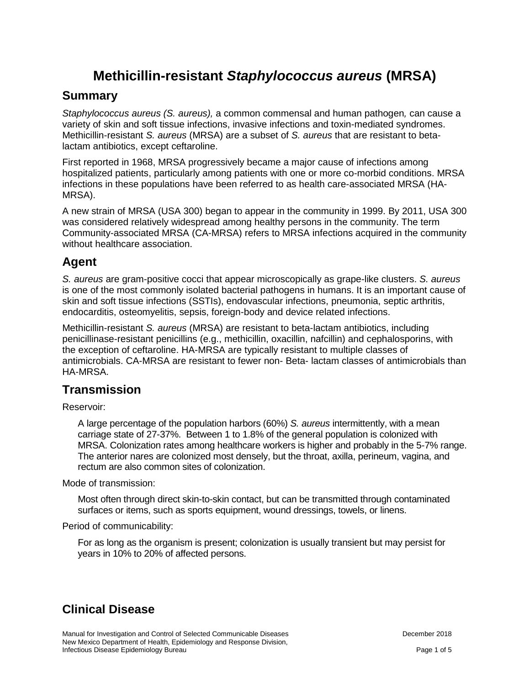# **Methicillin-resistant** *Staphylococcus aureus* **(MRSA)**

#### **Summary**

*Staphylococcus aureus (S. aureus),* a common commensal and human pathogen*,* can cause a variety of skin and soft tissue infections, invasive infections and toxin-mediated syndromes. Methicillin-resistant *S. aureus* (MRSA) are a subset of *S. aureus* that are resistant to betalactam antibiotics, except ceftaroline.

First reported in 1968, MRSA progressively became a major cause of infections among hospitalized patients, particularly among patients with one or more co-morbid conditions. MRSA infections in these populations have been referred to as health care-associated MRSA (HA-MRSA).

A new strain of MRSA (USA 300) began to appear in the community in 1999. By 2011, USA 300 was considered relatively widespread among healthy persons in the community. The term Community-associated MRSA (CA-MRSA) refers to MRSA infections acquired in the community without healthcare association.

#### **Agent**

*S. aureus* are gram-positive cocci that appear microscopically as grape-like clusters. *S. aureus*  is one of the most commonly isolated bacterial pathogens in humans. It is an important cause of skin and soft tissue infections (SSTIs), endovascular infections, pneumonia, septic arthritis, endocarditis, osteomyelitis, sepsis, foreign-body and device related infections.

Methicillin-resistant *S. aureus* (MRSA) are resistant to beta-lactam antibiotics, including penicillinase-resistant penicillins (e.g., methicillin, oxacillin, nafcillin) and cephalosporins, with the exception of ceftaroline. HA-MRSA are typically resistant to multiple classes of antimicrobials. CA-MRSA are resistant to fewer non- Beta- lactam classes of antimicrobials than HA-MRSA.

### **Transmission**

Reservoir:

A large percentage of the population harbors (60%) *S. aureus* intermittently, with a mean carriage state of 27-37%. Between 1 to 1.8% of the general population is colonized with MRSA. Colonization rates among healthcare workers is higher and probably in the 5-7% range. The anterior nares are colonized most densely, but the throat, axilla, perineum, vagina, and rectum are also common sites of colonization.

Mode of transmission:

Most often through direct skin-to-skin contact, but can be transmitted through contaminated surfaces or items, such as sports equipment, wound dressings, towels, or linens.

Period of communicability:

For as long as the organism is present; colonization is usually transient but may persist for years in 10% to 20% of affected persons.

## **Clinical Disease**

Manual for Investigation and Control of Selected Communicable Diseases **December 2018** December 2018 New Mexico Department of Health, Epidemiology and Response Division, Infectious Disease Epidemiology Bureau **Page 1 of 5** and 2008 and 2009 and 2008 and 2009 and 2009 and 2009 and 2009 and 2009 and 2009 and 2009 and 2009 and 2009 and 2009 and 2009 and 2009 and 2009 and 2009 and 2009 and 200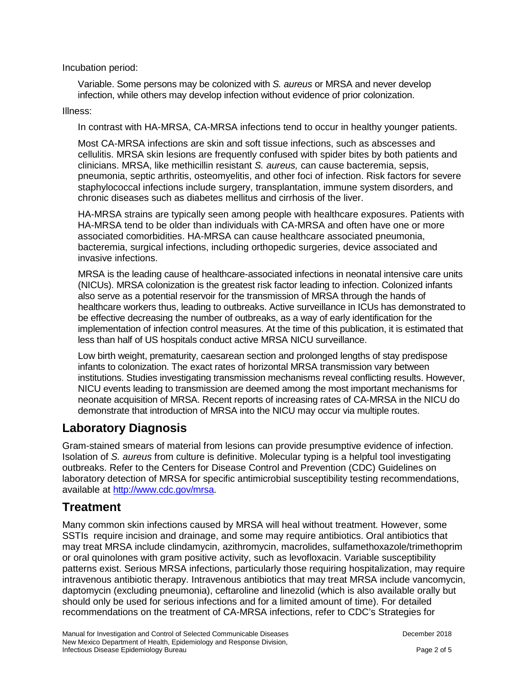Incubation period:

Variable. Some persons may be colonized with *S. aureus* or MRSA and never develop infection, while others may develop infection without evidence of prior colonization.

#### Illness:

In contrast with HA-MRSA, CA-MRSA infections tend to occur in healthy younger patients.

Most CA-MRSA infections are skin and soft tissue infections, such as abscesses and cellulitis. MRSA skin lesions are frequently confused with spider bites by both patients and clinicians. MRSA, like methicillin resistant *S. aureus,* can cause bacteremia, sepsis, pneumonia, septic arthritis, osteomyelitis, and other foci of infection. Risk factors for severe staphylococcal infections include surgery, transplantation, immune system disorders, and chronic diseases such as diabetes mellitus and cirrhosis of the liver.

HA-MRSA strains are typically seen among people with healthcare exposures. Patients with HA-MRSA tend to be older than individuals with CA-MRSA and often have one or more associated comorbidities. HA-MRSA can cause healthcare associated pneumonia, bacteremia, surgical infections, including orthopedic surgeries, device associated and invasive infections.

MRSA is the leading cause of healthcare-associated infections in neonatal intensive care units (NICUs). MRSA colonization is the greatest risk factor leading to infection. Colonized infants also serve as a potential reservoir for the transmission of MRSA through the hands of healthcare workers thus, leading to outbreaks. Active surveillance in ICUs has demonstrated to be effective decreasing the number of outbreaks, as a way of early identification for the implementation of infection control measures. At the time of this publication, it is estimated that less than half of US hospitals conduct active MRSA NICU surveillance.

Low birth weight, prematurity, caesarean section and prolonged lengths of stay predispose infants to colonization. The exact rates of horizontal MRSA transmission vary between institutions. Studies investigating transmission mechanisms reveal conflicting results. However, NICU events leading to transmission are deemed among the most important mechanisms for neonate acquisition of MRSA. Recent reports of increasing rates of CA-MRSA in the NICU do demonstrate that introduction of MRSA into the NICU may occur via multiple routes.

#### **Laboratory Diagnosis**

Gram-stained smears of material from lesions can provide presumptive evidence of infection. Isolation of *S. aureus* from culture is definitive. Molecular typing is a helpful tool investigating outbreaks. Refer to the Centers for Disease Control and Prevention (CDC) Guidelines on laboratory detection of MRSA for specific antimicrobial susceptibility testing recommendations, available at [http://www.cdc.gov/mrsa.](http://www.cdc.gov/mrsa)

#### **Treatment**

Many common skin infections caused by MRSA will heal without treatment. However, some SSTIs require incision and drainage, and some may require antibiotics. Oral antibiotics that may treat MRSA include clindamycin, azithromycin, macrolides, sulfamethoxazole/trimethoprim or oral quinolones with gram positive activity, such as levofloxacin. Variable susceptibility patterns exist. Serious MRSA infections, particularly those requiring hospitalization, may require intravenous antibiotic therapy. Intravenous antibiotics that may treat MRSA include vancomycin, daptomycin (excluding pneumonia), ceftaroline and linezolid (which is also available orally but should only be used for serious infections and for a limited amount of time). For detailed recommendations on the treatment of CA-MRSA infections, refer to CDC's Strategies for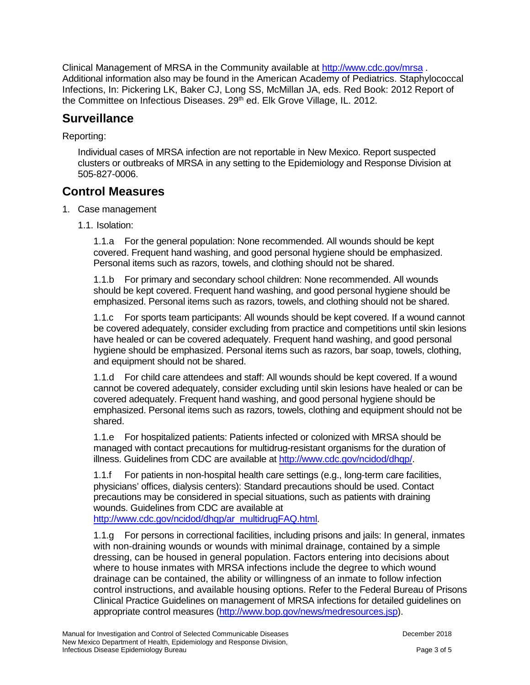Clinical Management of MRSA in the Community available at<http://www.cdc.gov/mrsa> . Additional information also may be found in the American Academy of Pediatrics. Staphylococcal Infections, In: Pickering LK, Baker CJ, Long SS, McMillan JA, eds. Red Book: 2012 Report of the Committee on Infectious Diseases. 29<sup>th</sup> ed. Elk Grove Village, IL. 2012.

### **Surveillance**

#### Reporting:

Individual cases of MRSA infection are not reportable in New Mexico. Report suspected clusters or outbreaks of MRSA in any setting to the Epidemiology and Response Division at 505-827-0006.

### **Control Measures**

- 1. Case management
	- 1.1. Isolation:

1.1.a For the general population: None recommended. All wounds should be kept covered. Frequent hand washing, and good personal hygiene should be emphasized. Personal items such as razors, towels, and clothing should not be shared.

1.1.b For primary and secondary school children: None recommended. All wounds should be kept covered. Frequent hand washing, and good personal hygiene should be emphasized. Personal items such as razors, towels, and clothing should not be shared.

1.1.c For sports team participants: All wounds should be kept covered. If a wound cannot be covered adequately, consider excluding from practice and competitions until skin lesions have healed or can be covered adequately. Frequent hand washing, and good personal hygiene should be emphasized. Personal items such as razors, bar soap, towels, clothing, and equipment should not be shared.

1.1.d For child care attendees and staff: All wounds should be kept covered. If a wound cannot be covered adequately, consider excluding until skin lesions have healed or can be covered adequately. Frequent hand washing, and good personal hygiene should be emphasized. Personal items such as razors, towels, clothing and equipment should not be shared.

1.1.e For hospitalized patients: Patients infected or colonized with MRSA should be managed with contact precautions for multidrug-resistant organisms for the duration of illness. Guidelines from CDC are available at [http://www.cdc.gov/ncidod/dhqp/.](http://www.cdc.gov/ncidod/dhqp/)

1.1.f For patients in non-hospital health care settings (e.g., long-term care facilities, physicians' offices, dialysis centers): Standard precautions should be used. Contact precautions may be considered in special situations, such as patients with draining wounds. Guidelines from CDC are available at [http://www.cdc.gov/ncidod/dhqp/ar\\_multidrugFAQ.html.](http://www.cdc.gov/ncidod/dhqp/ar_multidrugFAQ.html)

1.1.g For persons in correctional facilities, including prisons and jails: In general, inmates with non-draining wounds or wounds with minimal drainage, contained by a simple dressing, can be housed in general population. Factors entering into decisions about where to house inmates with MRSA infections include the degree to which wound drainage can be contained, the ability or willingness of an inmate to follow infection control instructions, and available housing options. Refer to the Federal Bureau of Prisons Clinical Practice Guidelines on management of MRSA infections for detailed guidelines on appropriate control measures [\(http://www.bop.gov/news/medresources.jsp\)](http://www.bop.gov/news/medresources.jsp).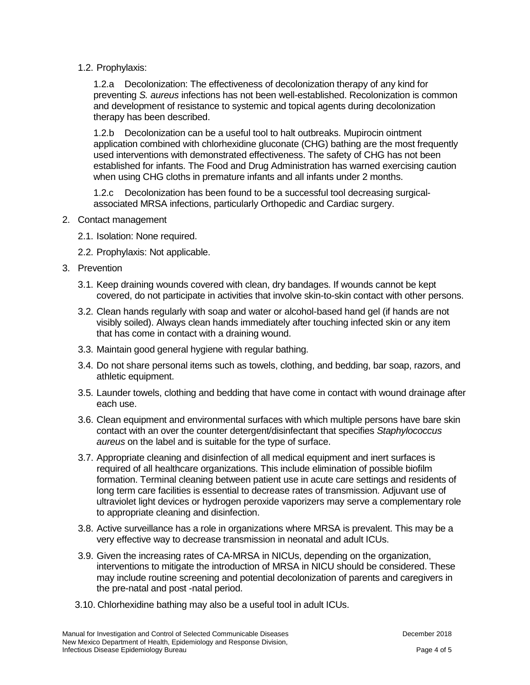1.2. Prophylaxis:

1.2.a Decolonization: The effectiveness of decolonization therapy of any kind for preventing *S. aureus* infections has not been well-established. Recolonization is common and development of resistance to systemic and topical agents during decolonization therapy has been described.

1.2.b Decolonization can be a useful tool to halt outbreaks. Mupirocin ointment application combined with chlorhexidine gluconate (CHG) bathing are the most frequently used interventions with demonstrated effectiveness. The safety of CHG has not been established for infants. The Food and Drug Administration has warned exercising caution when using CHG cloths in premature infants and all infants under 2 months.

1.2.c Decolonization has been found to be a successful tool decreasing surgicalassociated MRSA infections, particularly Orthopedic and Cardiac surgery.

- 2. Contact management
	- 2.1. Isolation: None required.
	- 2.2. Prophylaxis: Not applicable.
- 3. Prevention
	- 3.1. Keep draining wounds covered with clean, dry bandages. If wounds cannot be kept covered, do not participate in activities that involve skin-to-skin contact with other persons.
	- 3.2. Clean hands regularly with soap and water or alcohol-based hand gel (if hands are not visibly soiled). Always clean hands immediately after touching infected skin or any item that has come in contact with a draining wound.
	- 3.3. Maintain good general hygiene with regular bathing.
	- 3.4. Do not share personal items such as towels, clothing, and bedding, bar soap, razors, and athletic equipment.
	- 3.5. Launder towels, clothing and bedding that have come in contact with wound drainage after each use.
	- 3.6. Clean equipment and environmental surfaces with which multiple persons have bare skin contact with an over the counter detergent/disinfectant that specifies *Staphylococcus aureus* on the label and is suitable for the type of surface.
	- 3.7. Appropriate cleaning and disinfection of all medical equipment and inert surfaces is required of all healthcare organizations. This include elimination of possible biofilm formation. Terminal cleaning between patient use in acute care settings and residents of long term care facilities is essential to decrease rates of transmission. Adjuvant use of ultraviolet light devices or hydrogen peroxide vaporizers may serve a complementary role to appropriate cleaning and disinfection.
	- 3.8. Active surveillance has a role in organizations where MRSA is prevalent. This may be a very effective way to decrease transmission in neonatal and adult ICUs.
	- 3.9. Given the increasing rates of CA-MRSA in NICUs, depending on the organization, interventions to mitigate the introduction of MRSA in NICU should be considered. These may include routine screening and potential decolonization of parents and caregivers in the pre-natal and post -natal period.
	- 3.10. Chlorhexidine bathing may also be a useful tool in adult ICUs.